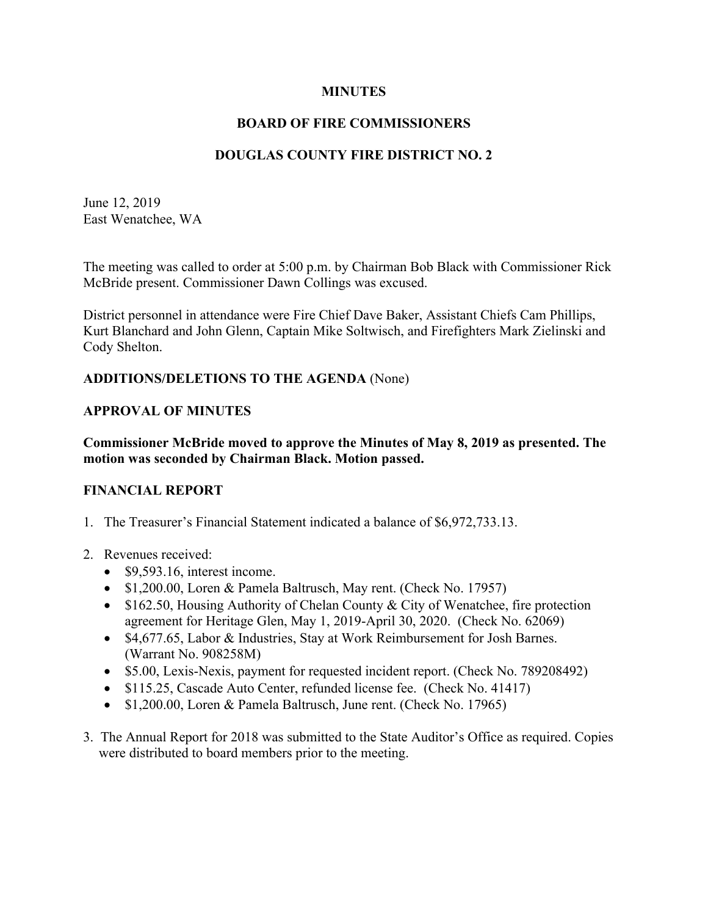#### **MINUTES**

## **BOARD OF FIRE COMMISSIONERS**

## **DOUGLAS COUNTY FIRE DISTRICT NO. 2**

June 12, 2019 East Wenatchee, WA

The meeting was called to order at 5:00 p.m. by Chairman Bob Black with Commissioner Rick McBride present. Commissioner Dawn Collings was excused.

District personnel in attendance were Fire Chief Dave Baker, Assistant Chiefs Cam Phillips, Kurt Blanchard and John Glenn, Captain Mike Soltwisch, and Firefighters Mark Zielinski and Cody Shelton.

#### **ADDITIONS/DELETIONS TO THE AGENDA** (None)

#### **APPROVAL OF MINUTES**

**Commissioner McBride moved to approve the Minutes of May 8, 2019 as presented. The motion was seconded by Chairman Black. Motion passed.**

#### **FINANCIAL REPORT**

- 1. The Treasurer's Financial Statement indicated a balance of \$6,972,733.13.
- 2. Revenues received:
	- \$9,593.16, interest income.
	- \$1,200.00, Loren & Pamela Baltrusch, May rent. (Check No. 17957)
	- \$162.50, Housing Authority of Chelan County & City of Wenatchee, fire protection agreement for Heritage Glen, May 1, 2019-April 30, 2020. (Check No. 62069)
	- \$4,677.65, Labor & Industries, Stay at Work Reimbursement for Josh Barnes. (Warrant No. 908258M)
	- \$5.00, Lexis-Nexis, payment for requested incident report. (Check No. 789208492)
	- \$115.25, Cascade Auto Center, refunded license fee. (Check No. 41417)
	- \$1,200.00, Loren & Pamela Baltrusch, June rent. (Check No. 17965)
- 3. The Annual Report for 2018 was submitted to the State Auditor's Office as required. Copies were distributed to board members prior to the meeting.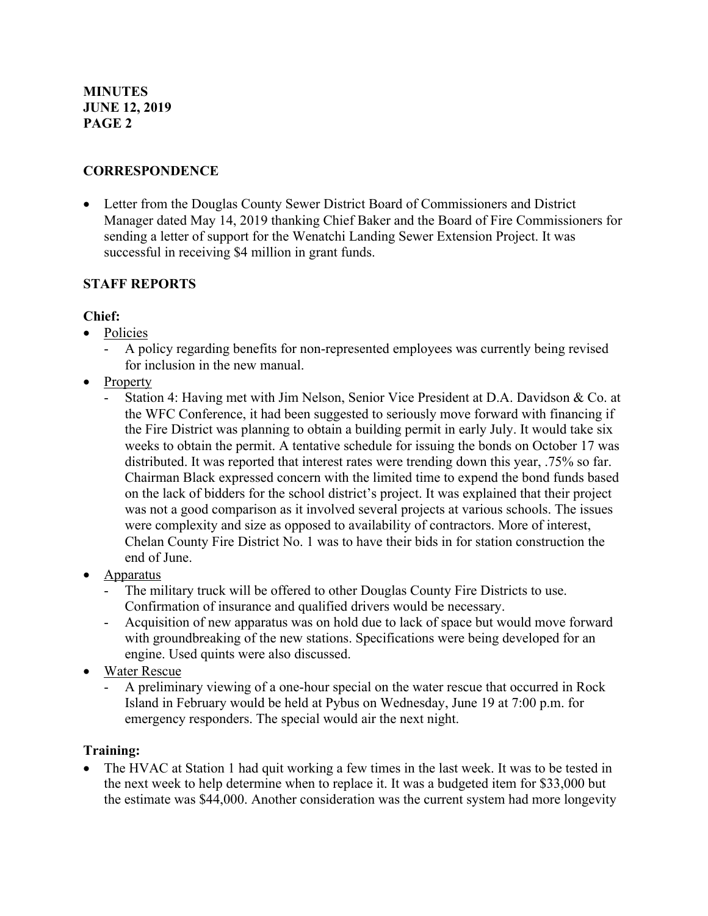# **CORRESPONDENCE**

• Letter from the Douglas County Sewer District Board of Commissioners and District Manager dated May 14, 2019 thanking Chief Baker and the Board of Fire Commissioners for sending a letter of support for the Wenatchi Landing Sewer Extension Project. It was successful in receiving \$4 million in grant funds.

## **STAFF REPORTS**

### **Chief:**

- Policies
	- A policy regarding benefits for non-represented employees was currently being revised for inclusion in the new manual.
- Property
	- Station 4: Having met with Jim Nelson, Senior Vice President at D.A. Davidson & Co. at the WFC Conference, it had been suggested to seriously move forward with financing if the Fire District was planning to obtain a building permit in early July. It would take six weeks to obtain the permit. A tentative schedule for issuing the bonds on October 17 was distributed. It was reported that interest rates were trending down this year, .75% so far. Chairman Black expressed concern with the limited time to expend the bond funds based on the lack of bidders for the school district's project. It was explained that their project was not a good comparison as it involved several projects at various schools. The issues were complexity and size as opposed to availability of contractors. More of interest, Chelan County Fire District No. 1 was to have their bids in for station construction the end of June.
- Apparatus
	- The military truck will be offered to other Douglas County Fire Districts to use. Confirmation of insurance and qualified drivers would be necessary.
	- Acquisition of new apparatus was on hold due to lack of space but would move forward with groundbreaking of the new stations. Specifications were being developed for an engine. Used quints were also discussed.
- Water Rescue
	- A preliminary viewing of a one-hour special on the water rescue that occurred in Rock Island in February would be held at Pybus on Wednesday, June 19 at 7:00 p.m. for emergency responders. The special would air the next night.

### **Training:**

The HVAC at Station 1 had quit working a few times in the last week. It was to be tested in the next week to help determine when to replace it. It was a budgeted item for \$33,000 but the estimate was \$44,000. Another consideration was the current system had more longevity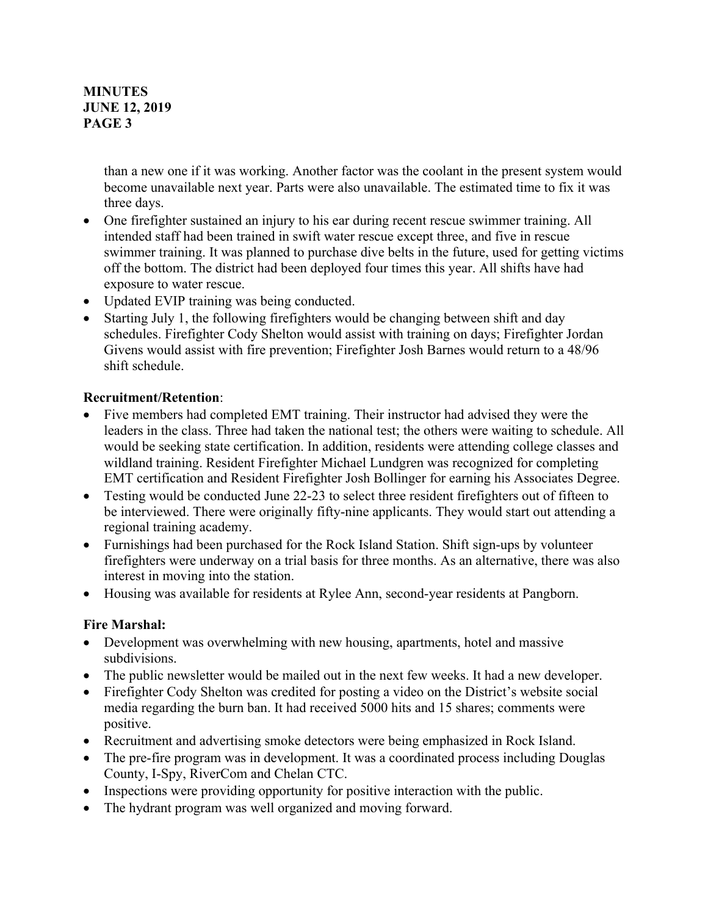### **MINUTES JUNE 12, 2019 PAGE 3**

than a new one if it was working. Another factor was the coolant in the present system would become unavailable next year. Parts were also unavailable. The estimated time to fix it was three days.

- One firefighter sustained an injury to his ear during recent rescue swimmer training. All intended staff had been trained in swift water rescue except three, and five in rescue swimmer training. It was planned to purchase dive belts in the future, used for getting victims off the bottom. The district had been deployed four times this year. All shifts have had exposure to water rescue.
- Updated EVIP training was being conducted.
- Starting July 1, the following firefighters would be changing between shift and day schedules. Firefighter Cody Shelton would assist with training on days; Firefighter Jordan Givens would assist with fire prevention; Firefighter Josh Barnes would return to a 48/96 shift schedule.

### **Recruitment/Retention**:

- Five members had completed EMT training. Their instructor had advised they were the leaders in the class. Three had taken the national test; the others were waiting to schedule. All would be seeking state certification. In addition, residents were attending college classes and wildland training. Resident Firefighter Michael Lundgren was recognized for completing EMT certification and Resident Firefighter Josh Bollinger for earning his Associates Degree.
- Testing would be conducted June 22-23 to select three resident firefighters out of fifteen to be interviewed. There were originally fifty-nine applicants. They would start out attending a regional training academy.
- Furnishings had been purchased for the Rock Island Station. Shift sign-ups by volunteer firefighters were underway on a trial basis for three months. As an alternative, there was also interest in moving into the station.
- Housing was available for residents at Rylee Ann, second-year residents at Pangborn.

### **Fire Marshal:**

- Development was overwhelming with new housing, apartments, hotel and massive subdivisions.
- The public newsletter would be mailed out in the next few weeks. It had a new developer.
- Firefighter Cody Shelton was credited for posting a video on the District's website social media regarding the burn ban. It had received 5000 hits and 15 shares; comments were positive.
- Recruitment and advertising smoke detectors were being emphasized in Rock Island.
- The pre-fire program was in development. It was a coordinated process including Douglas County, I-Spy, RiverCom and Chelan CTC.
- Inspections were providing opportunity for positive interaction with the public.
- The hydrant program was well organized and moving forward.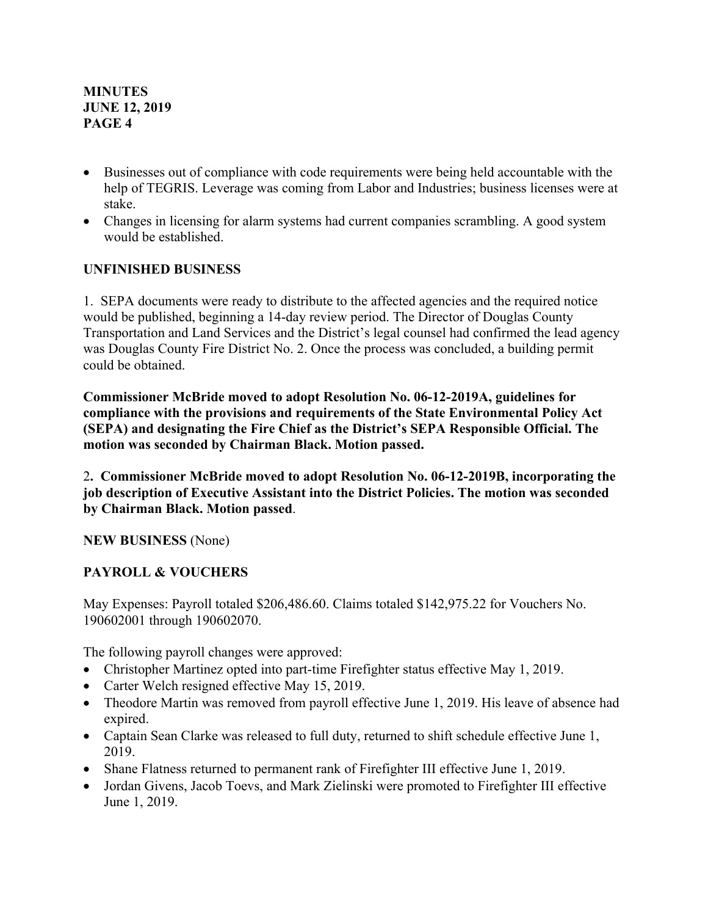**MINUTES JUNE 12, 2019 PAGE 4**

- Businesses out of compliance with code requirements were being held accountable with the help of TEGRIS. Leverage was coming from Labor and Industries; business licenses were at stake.
- Changes in licensing for alarm systems had current companies scrambling. A good system would be established.

### **UNFINISHED BUSINESS**

1. SEPA documents were ready to distribute to the affected agencies and the required notice would be published, beginning a 14-day review period. The Director of Douglas County Transportation and Land Services and the District's legal counsel had confirmed the lead agency was Douglas County Fire District No. 2. Once the process was concluded, a building permit could be obtained.

**Commissioner McBride moved to adopt Resolution No. 06-12-2019A, guidelines for compliance with the provisions and requirements of the State Environmental Policy Act (SEPA) and designating the Fire Chief as the District's SEPA Responsible Official. The motion was seconded by Chairman Black. Motion passed.**

2**. Commissioner McBride moved to adopt Resolution No. 06-12-2019B, incorporating the job description of Executive Assistant into the District Policies. The motion was seconded by Chairman Black. Motion passed**.

**NEW BUSINESS** (None)

# **PAYROLL & VOUCHERS**

May Expenses: Payroll totaled \$206,486.60. Claims totaled \$142,975.22 for Vouchers No. 190602001 through 190602070.

The following payroll changes were approved:

- Christopher Martinez opted into part-time Firefighter status effective May 1, 2019.
- Carter Welch resigned effective May 15, 2019.
- Theodore Martin was removed from payroll effective June 1, 2019. His leave of absence had expired.
- Captain Sean Clarke was released to full duty, returned to shift schedule effective June 1, 2019.
- Shane Flatness returned to permanent rank of Firefighter III effective June 1, 2019.
- Jordan Givens, Jacob Toevs, and Mark Zielinski were promoted to Firefighter III effective June 1, 2019.